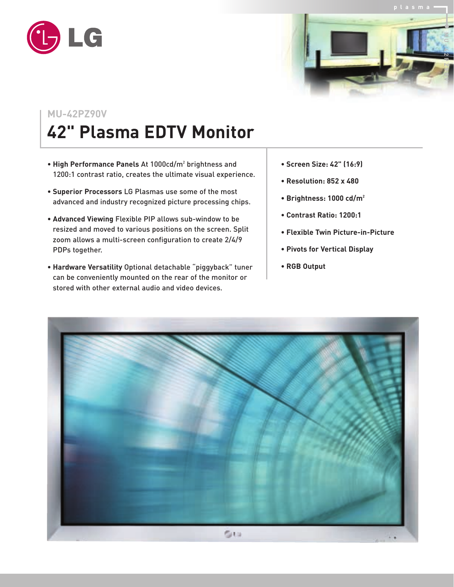



## **MU-42PZ90V**

## **42" Plasma EDTV Monitor**

- **High Performance Panels** At 1000cd/m2 brightness and 1200:1 contrast ratio, creates the ultimate visual experience.
- **Superior Processors** LG Plasmas use some of the most advanced and industry recognized picture processing chips.
- **Advanced Viewing** Flexible PIP allows sub-window to be resized and moved to various positions on the screen. Split zoom allows a multi-screen configuration to create 2/4/9 PDPs together.
- **Hardware Versatility** Optional detachable "piggyback" tuner can be conveniently mounted on the rear of the monitor or stored with other external audio and video devices.
- **Screen Size: 42" (16:9)**
- **Resolution: 852 x 480**
- **Brightness: 1000 cd/m2**
- **Contrast Ratio: 1200:1**
- **Flexible Twin Picture-in-Picture**
- **Pivots for Vertical Display**
- **RGB Output**